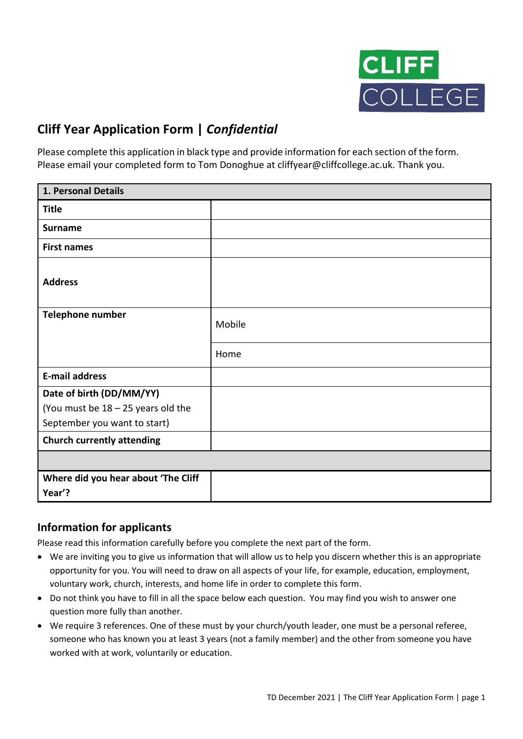

## **Cliff Year Application Form |** *Confidential*

Please complete this application in black type and provide information for each section of the form. Please email your completed form to Tom Donoghue at cliffyear@cliffcollege.ac.uk. Thank you.

| 1. Personal Details                  |        |  |
|--------------------------------------|--------|--|
| <b>Title</b>                         |        |  |
| <b>Surname</b>                       |        |  |
| <b>First names</b>                   |        |  |
| <b>Address</b>                       |        |  |
| Telephone number                     | Mobile |  |
|                                      | Home   |  |
| <b>E-mail address</b>                |        |  |
| Date of birth (DD/MM/YY)             |        |  |
| (You must be $18 - 25$ years old the |        |  |
| September you want to start)         |        |  |
| <b>Church currently attending</b>    |        |  |
|                                      |        |  |
| Where did you hear about 'The Cliff  |        |  |
| Year'?                               |        |  |

### **Information for applicants**

Please read this information carefully before you complete the next part of the form.

- We are inviting you to give us information that will allow us to help you discern whether this is an appropriate opportunity for you. You will need to draw on all aspects of your life, for example, education, employment, voluntary work, church, interests, and home life in order to complete this form.
- Do not think you have to fill in all the space below each question. You may find you wish to answer one question more fully than another.
- We require 3 references. One of these must by your church/youth leader, one must be a personal referee, someone who has known you at least 3 years (not a family member) and the other from someone you have worked with at work, voluntarily or education.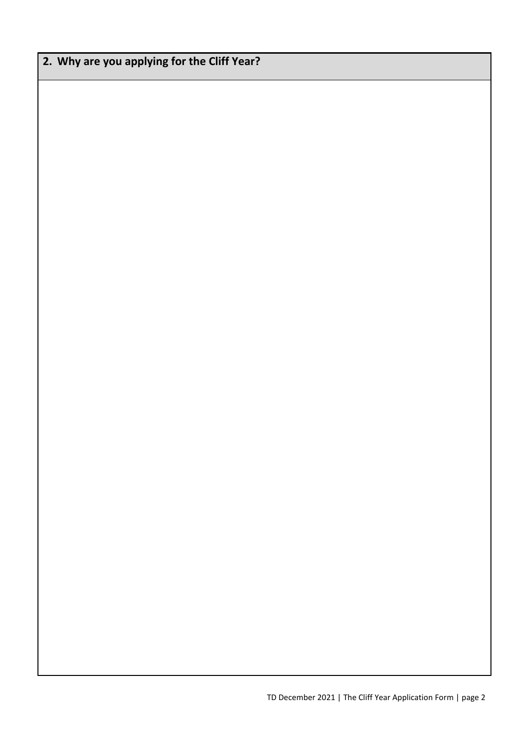# **2. Why are you applying for the Cliff Year?**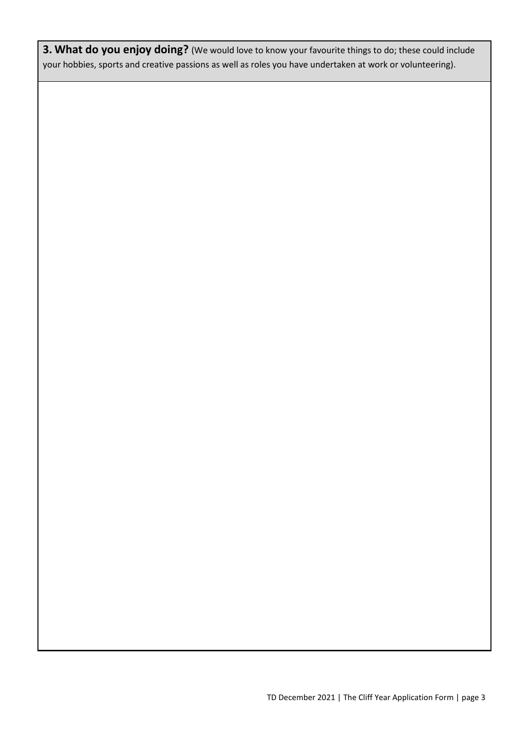**3. What do you enjoy doing?** (We would love to know your favourite things to do; these could include your hobbies, sports and creative passions as well as roles you have undertaken at work or volunteering).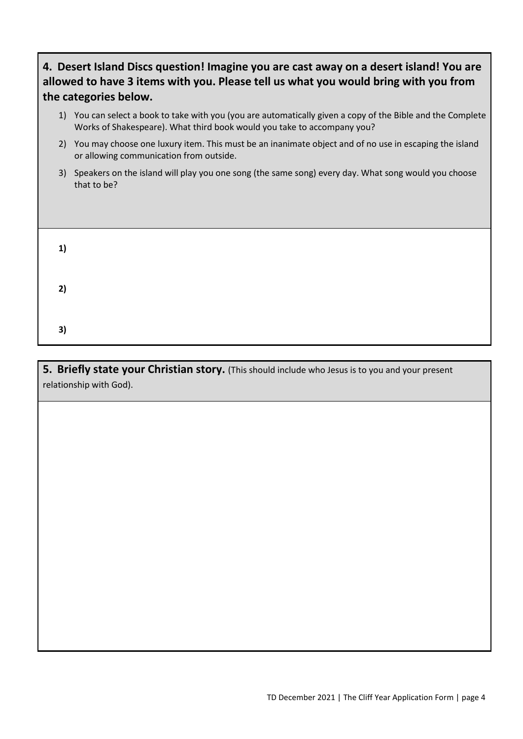| 4. Desert Island Discs question! Imagine you are cast away on a desert island! You are |
|----------------------------------------------------------------------------------------|
| allowed to have 3 items with you. Please tell us what you would bring with you from    |
| the categories below.                                                                  |

- 1) You can select a book to take with you (you are automatically given a copy of the Bible and the Complete Works of Shakespeare). What third book would you take to accompany you?
- 2) You may choose one luxury item. This must be an inanimate object and of no use in escaping the island or allowing communication from outside.
- 3) Speakers on the island will play you one song (the same song) every day. What song would you choose that to be?

| 1) |  |  |  |  |
|----|--|--|--|--|
| 2) |  |  |  |  |
| 3) |  |  |  |  |

**5. Briefly state your Christian story.** (This should include who Jesus is to you and your present relationship with God).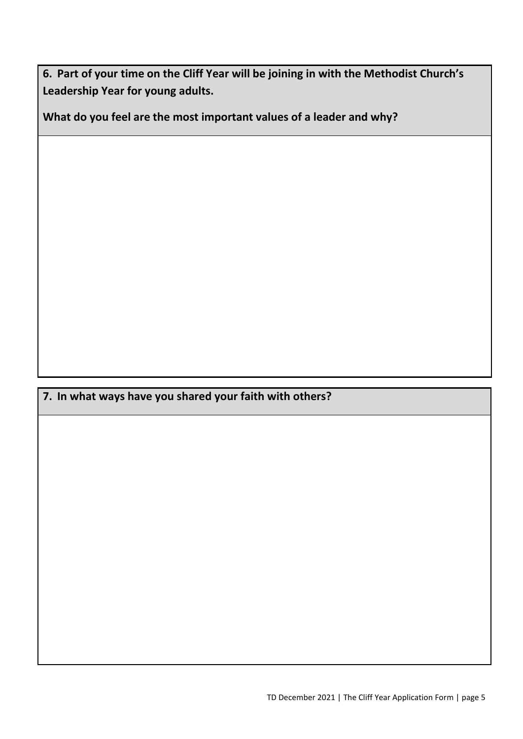**6. Part of your time on the Cliff Year will be joining in with the Methodist Church's Leadership Year for young adults.**

**What do you feel are the most important values of a leader and why?** 

**7. In what ways have you shared your faith with others?**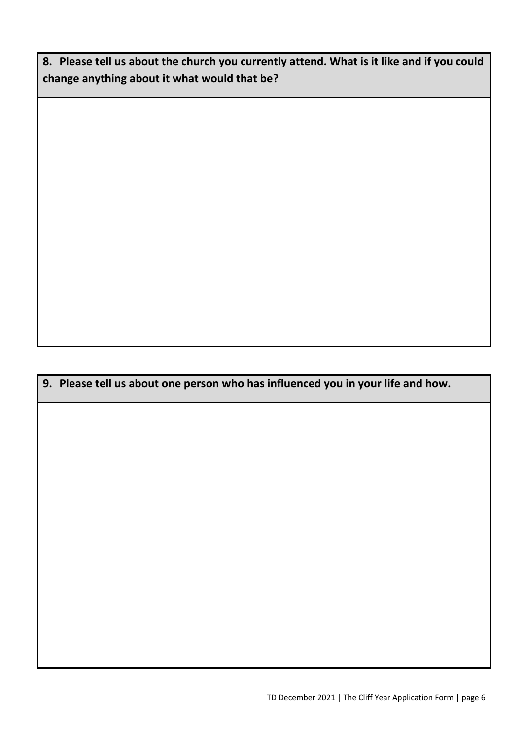**8. Please tell us about the church you currently attend. What is it like and if you could change anything about it what would that be?**

**9. Please tell us about one person who has influenced you in your life and how.**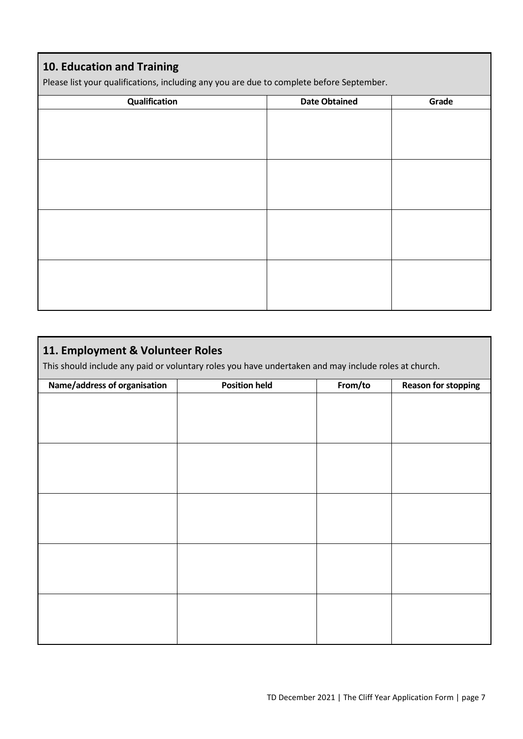### **10. Education and Training**

Please list your qualifications, including any you are due to complete before September.

| Qualification | <b>Date Obtained</b> | Grade |
|---------------|----------------------|-------|
|               |                      |       |
|               |                      |       |
|               |                      |       |
|               |                      |       |
|               |                      |       |
|               |                      |       |
|               |                      |       |
|               |                      |       |
|               |                      |       |
|               |                      |       |
|               |                      |       |
|               |                      |       |
|               |                      |       |
|               |                      |       |
|               |                      |       |
|               |                      |       |

#### **11. Employment & Volunteer Roles**

This should include any paid or voluntary roles you have undertaken and may include roles at church.

| Name/address of organisation | <b>Position held</b> | From/to | <b>Reason for stopping</b> |
|------------------------------|----------------------|---------|----------------------------|
|                              |                      |         |                            |
|                              |                      |         |                            |
|                              |                      |         |                            |
|                              |                      |         |                            |
|                              |                      |         |                            |
|                              |                      |         |                            |
|                              |                      |         |                            |
|                              |                      |         |                            |
|                              |                      |         |                            |
|                              |                      |         |                            |
|                              |                      |         |                            |
|                              |                      |         |                            |
|                              |                      |         |                            |
|                              |                      |         |                            |
|                              |                      |         |                            |
|                              |                      |         |                            |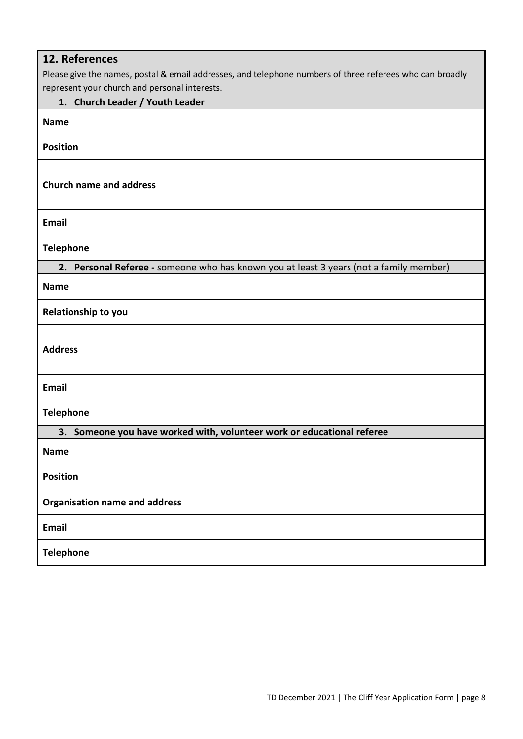| 12. References                                                                                           |                                                                                        |  |  |
|----------------------------------------------------------------------------------------------------------|----------------------------------------------------------------------------------------|--|--|
| Please give the names, postal & email addresses, and telephone numbers of three referees who can broadly |                                                                                        |  |  |
|                                                                                                          | represent your church and personal interests.                                          |  |  |
| 1. Church Leader / Youth Leader                                                                          |                                                                                        |  |  |
| <b>Name</b>                                                                                              |                                                                                        |  |  |
| <b>Position</b>                                                                                          |                                                                                        |  |  |
| <b>Church name and address</b>                                                                           |                                                                                        |  |  |
| <b>Email</b>                                                                                             |                                                                                        |  |  |
| <b>Telephone</b>                                                                                         |                                                                                        |  |  |
|                                                                                                          | 2. Personal Referee - someone who has known you at least 3 years (not a family member) |  |  |
| <b>Name</b>                                                                                              |                                                                                        |  |  |
| <b>Relationship to you</b>                                                                               |                                                                                        |  |  |
| <b>Address</b>                                                                                           |                                                                                        |  |  |
| <b>Email</b>                                                                                             |                                                                                        |  |  |
| <b>Telephone</b>                                                                                         |                                                                                        |  |  |
| 3. Someone you have worked with, volunteer work or educational referee                                   |                                                                                        |  |  |
| <b>Name</b>                                                                                              |                                                                                        |  |  |
| <b>Position</b>                                                                                          |                                                                                        |  |  |
| <b>Organisation name and address</b>                                                                     |                                                                                        |  |  |
| <b>Email</b>                                                                                             |                                                                                        |  |  |
| <b>Telephone</b>                                                                                         |                                                                                        |  |  |